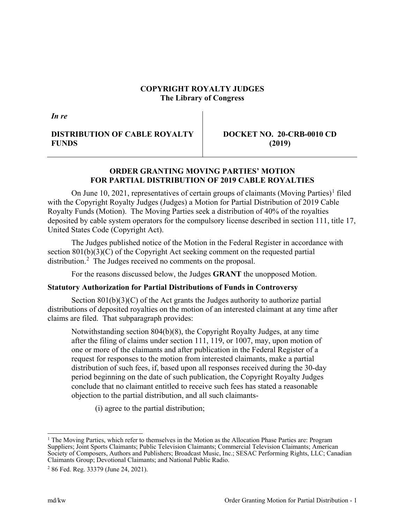## **COPYRIGHT ROYALTY JUDGES The Library of Congress**

*In re*

# **DISTRIBUTION OF CABLE ROYALTY FUNDS**

**DOCKET NO. 20-CRB-0010 CD (2019)**

# **ORDER GRANTING MOVING PARTIES' MOTION FOR PARTIAL DISTRIBUTION OF 2019 CABLE ROYALTIES**

On June [1](#page-0-0)0, 2021, representatives of certain groups of claimants (Moving Parties)<sup>1</sup> filed with the Copyright Royalty Judges (Judges) a Motion for Partial Distribution of 2019 Cable Royalty Funds (Motion). The Moving Parties seek a distribution of 40% of the royalties deposited by cable system operators for the compulsory license described in section 111, title 17, United States Code (Copyright Act).

The Judges published notice of the Motion in the Federal Register in accordance with section 801(b)(3)(C) of the Copyright Act seeking comment on the requested partial distribution.<sup>[2](#page-0-1)</sup> The Judges received no comments on the proposal.

For the reasons discussed below, the Judges **GRANT** the unopposed Motion.

## **Statutory Authorization for Partial Distributions of Funds in Controversy**

Section  $801(b)(3)(C)$  of the Act grants the Judges authority to authorize partial distributions of deposited royalties on the motion of an interested claimant at any time after claims are filed. That subparagraph provides:

Notwithstanding section 804(b)(8), the Copyright Royalty Judges, at any time after the filing of claims under section 111, 119, or 1007, may, upon motion of one or more of the claimants and after publication in the Federal Register of a request for responses to the motion from interested claimants, make a partial distribution of such fees, if, based upon all responses received during the 30-day period beginning on the date of such publication, the Copyright Royalty Judges conclude that no claimant entitled to receive such fees has stated a reasonable objection to the partial distribution, and all such claimants-

(i) agree to the partial distribution;

<span id="page-0-0"></span><sup>&</sup>lt;sup>1</sup> The Moving Parties, which refer to themselves in the Motion as the Allocation Phase Parties are: Program Suppliers; Joint Sports Claimants; Public Television Claimants; Commercial Television Claimants; American Society of Composers, Authors and Publishers; Broadcast Music, Inc.; SESAC Performing Rights, LLC; Canadian Claimants Group; Devotional Claimants; and National Public Radio.

<span id="page-0-1"></span><sup>2</sup> 86 Fed. Reg. 33379 (June 24, 2021).